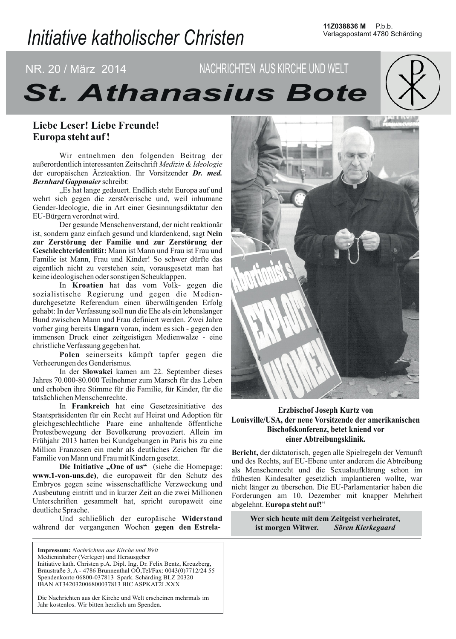# Initiative katholischer Christen

# NR. 20 / März 2014 NACHRICHTEN AUS KIRCHE UND WELT **St. Athanasius Bote**

# Liebe Leser! Liebe Freunde! Europa steht auf!

Wir entnehmen den folgenden Beitrag der außerordentlich interessanten Zeitschrift Medizin & Ideologie der europäischen Ärzteaktion. Ihr Vorsitzender Dr. med. **Bernhard Gappmaier schreibt:** 

"Es hat lange gedauert. Endlich steht Europa auf und wehrt sich gegen die zerstörerische und, weil inhumane Gender-Ideologie, die in Art einer Gesinnungsdiktatur den EU-Bürgern verordnet wird.

Der gesunde Menschenverstand, der nicht reaktionär ist, sondern ganz einfach gesund und klardenkend, sagt Nein zur Zerstörung der Familie und zur Zerstörung der Geschlechteridentität: Mann ist Mann und Frau ist Frau und Familie ist Mann, Frau und Kinder! So schwer dürfte das eigentlich nicht zu verstehen sein, vorausgesetzt man hat keine ideologischen oder sonstigen Scheuklappen.

In Kroatien hat das vom Volk- gegen die sozialistische Regierung und gegen die Medien-<br>durchgesetzte Referendum einen überwältigenden Erfolg gehabt: In der Verfassung soll nun die Ehe als ein lebenslanger Bund zwischen Mann und Frau definiert werden. Zwei Jahre vorher ging bereits Ungarn voran, indem es sich - gegen den immensen Druck einer zeitgeistigen Medienwalze - eine christliche Verfassung gegeben hat.

Polen seinerseits kämpft tapfer gegen die Verheerungen des Genderismus.

In der Slowakei kamen am 22. September dieses Jahres 70.000-80.000 Teilnehmer zum Marsch für das Leben und erhoben ihre Stimme für die Familie, für Kinder, für die tatsächlichen Menschenrechte.

In Frankreich hat eine Gesetzesinitiative des Staatspräsidenten für ein Recht auf Heirat und Adoption für gleichgeschlechtliche Paare eine anhaltende öffentliche Protestbewegung der Bevölkerung provoziert. Allein im Frühjahr 2013 hatten bei Kundgebungen in Paris bis zu eine Million Franzosen ein mehr als deutliches Zeichen für die Familie von Mann und Frau mit Kindern gesetzt.

Die Initiative "One of us" (siehe die Homepage: www.1-von-uns.de), die europaweit für den Schutz des Embryos gegen seine wissenschaftliche Verzweckung und Ausbeutung eintritt und in kurzer Zeit an die zwei Millionen Unterschriften gesammelt hat, spricht europaweit eine deutliche Sprache.

Und schließlich der europäische Widerstand während der vergangenen Wochen gegen den Estrela-

Impressum: Nachrichten aus Kirche und Welt Medieninhaber (Verleger) und Herausgeber Initiative kath. Christen p.A. Dipl. Ing. Dr. Felix Bentz, Kreuzberg, Bräustraße 3, A - 4786 Brunnenthal OÖ, Tel/Fax: 0043(0)7712/24 55 Spendenkonto 06800-037813 Spark. Schärding BLZ 20320 IBAN AT342032006800037813 BIC ASPKAT2LXXX

Die Nachrichten aus der Kirche und Welt erscheinen mehrmals im Jahr kostenlos. Wir bitten herzlich um Spenden.



### **Erzbischof Joseph Kurtz von** Louisville/USA, der neue Vorsitzende der amerikanischen Bischofskonferenz, betet kniend vor einer Abtreibungsklinik.

Bericht, der diktatorisch, gegen alle Spielregeln der Vernunft und des Rechts, auf EU-Ebene unter anderem die Abtreibung als Menschenrecht und die Sexualaufklärung schon im frühesten Kindesalter gesetzlich implantieren wollte, war nicht länger zu übersehen. Die EU-Parlamentarier haben die Forderungen am 10. Dezember mit knapper Mehrheit abgelehnt. Europa steht auf!"

> Wer sich heute mit dem Zeitgeist verheiratet, ist morgen Witwer. Sören Kierkegaard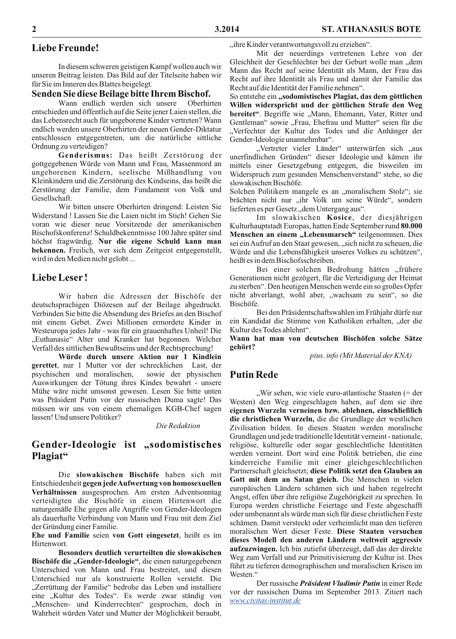# **Liebe Freunde!**

In diesem schweren geistigen Kampf wollen auch wir unseren Beitrag leisten. Das Bild auf der Titelseite haben wir für Sie im Inneren des Blattes beigelegt.

#### Senden Sie diese Beilage bitte Ihrem Bischof.

Wann endlich werden sich unsere Oberhirten entschieden und öffentlich auf die Seite jener Laien stellen, die das Lebensrecht auch für ungeborene Kinder vertreten? Wann endlich werden unsere Oberhirten der neuen Gender-Diktatur entschlossen entgegentreten, um die natürliche sittliche Ordnung zu verteidigen?

Genderismus: Das heißt Zerstörung der gottgegebenen Würde von Mann und Frau, Massenmord an ungeborenen Kindern, seelische Mißhandlung von Kleinkindern und die Zerstörung des Kindseins, das heißt die Zerstörung der Familie, dem Fundament von Volk und Gesellschaft.

Wir bitten unsere Oberhirten dringend: Leisten Sie Widerstand ! Lassen Sie die Laien nicht im Stich! Gehen Sie voran wie dieser neue Vorsitzende der amerikanischen Bischofskonferenz! Schuldbekenntnisse 100 Jahre später sind höchst fragwürdig. Nur die eigene Schuld kann man bekennen. Freilich, wer sich dem Zeitgeist entgegenstellt, wird in den Medien nicht gelobt...

### **Liebe Leser!**

Wir haben die Adressen der Bischöfe der deutschsprachigen Diözesen auf der Beilage abgedruckt. Verbinden Sie bitte die Absendung des Briefes an den Bischof mit einem Gebet. Zwei Millionen ermordete Kinder in Westeuropa jedes Jahr - was für ein grauenhaftes Unheil! Die "Euthanasie" Alter und Kranker hat begonnen. Welcher Verfall des sittlichen Bewußtseins und der Rechtsprechung!

Würde durch unsere Aktion nur 1 Kindlein gerettet, nur 1 Mutter vor der schrecklichen Last, der sowie der physischen psychischen und moralischen, Auswirkungen der Tötung ihres Kindes bewahrt - unsere Mühe wäre nicht umsonst gewesen. Lesen Sie bitte unten was Präsident Putin vor der russischen Duma sagte! Das müssen wir uns von einem ehemaligen KGB-Chef sagen lassen! Und unsere Politiker?

#### Die Redaktion

# Gender-Ideologie ist "sodomistisches Plagiat"

Die slowakischen Bischöfe haben sich mit Entschiedenheit gegen jede Aufwertung von homosexuellen Verhältnissen ausgesprochen. Am ersten Adventsonntag verteidigten die Bischöfe in einem Hirtenwort die naturgemäße Ehe gegen alle Angriffe von Gender-Ideologen als dauerhafte Verbindung von Mann und Frau mit dem Ziel der Gründung einer Familie.

Ehe und Familie seien von Gott eingesetzt, heißt es im Hirtenwort

Besonders deutlich verurteilten die slowakischen Bischöfe die "Gender-Ideologie", die einen naturgegebenen Unterschied von Mann und Frau bestreitet, und diesen Unterschied nur als konstruierte Rollen versteht. Die "Zerrüttung der Familie" bedrohe das Leben und installiere eine "Kultur des Todes". Es werde zwar ständig von "Menschen- und Kinderrechten" gesprochen, doch in Wahrheit würden Vater und Mutter der Möglichkeit beraubt, "ihre Kinder verantwortungsvoll zu erziehen".

Mit der neuerdings vertretenen Lehre von der Gleichheit der Geschlechter bei der Geburt wolle man "dem Mann das Recht auf seine Identität als Mann, der Frau das Recht auf ihre Identität als Frau und damit der Familie das Recht auf die Identität der Familie nehmen".

So entstehe ein "sodomistisches Plagiat, das dem göttlichen Willen widerspricht und der göttlichen Strafe den Weg bereitet". Begriffe wie "Mann, Ehemann, Vater, Ritter und Gentleman" sowie "Frau, Ehefrau und Mutter" seien für die "Verfechter der Kultur des Todes und die Anhänger der Gender-Ideologie unannehmbar".

"Vertreter vieler Länder" unterwürfen sich "aus unerfindlichen Gründen" dieser Ideologie und kämen ihr mittels einer Gesetzgebung entgegen, die bisweilen im Widerspruch zum gesunden Menschenverstand" stehe, so die slowakischen Bischöfe.

Solchen Politikern mangele es an "moralischem Stolz"; sie brächten nicht nur "ihr Volk um seine Würde", sondern lieferten es per Gesetz, dem Untergang aus".

Im slowakischen Kosice, der diesjährigen Kulturhauptstadt Europas, hatten Ende September rund 80.000 Menschen an einem "Lebensmarsch" teilgenommen. Dies sei ein Aufruf an den Staat gewesen, "sich nicht zu scheuen, die Würde und die Lebensfähigkeit unseres Volkes zu schützen", heißt es in dem Bischofsschreiben.

Bei einer solchen Bedrohung hätten "frühere Generationen nicht gezögert, für die Verteidigung der Heimat zu sterben". Den heutigen Menschen werde ein so großes Opfer nicht abverlangt, wohl aber, "wachsam zu sein", so die Bischöfe.

Bei den Präsidentschaftswahlen im Frühjahr dürfe nur ein Kandidat die Stimme von Katholiken erhalten, "der die Kultur des Todes ablehnt".

Wann hat man von deutschen Bischöfen solche Sätze gehört?

pius. info (Mit Material der KNA)

# **Putin Rede**

"Wir sehen, wie viele euro-atlantische Staaten (= der Westen) den Weg eingeschlagen haben, auf dem sie ihre eigenen Wurzeln verneinen bzw. ablehnen, einschließlich die christlichen Wurzeln, die die Grundlage der westlichen Zivilisation bilden. In diesen Staaten werden moralische Grundlagen und jede traditionelle Identität verneint - nationale, religiöse, kulturelle oder sogar geschlechtliche Identitäten werden verneint. Dort wird eine Politik betrieben, die eine kinderreiche Familie mit einer gleichgeschlechtlichen Partnerschaft gleichsetzt; diese Politik setzt den Glauben an Gott mit dem an Satan gleich. Die Menschen in vielen europäischen Ländern schämen sich und haben regelrecht Angst, offen über ihre religiöse Zugehörigkeit zu sprechen. In Europa werden christliche Feiertage und Feste abgeschafft oder umbenannt als würde man sich für diese christlichen Feste schämen. Damit versteckt oder verheimlicht man den tieferen moralischen Wert dieser Feste. Diese Staaten versuchen dieses Modell den anderen Ländern weltweit aggressiv aufzuzwingen. Ich bin zutiefst überzeugt, daß das der direkte Weg zum Verfall und zur Primitivisierung der Kultur ist. Dies führt zu tieferen demographischen und moralischen Krisen im Westen."

Der russische Präsident Vladimir Putin in einer Rede vor der russischen Duma im September 2013. Zitiert nach www.civitas-institut.de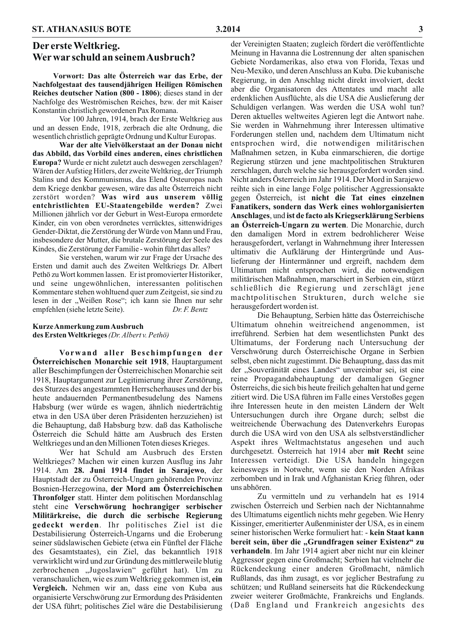# Der erste Weltkrieg. Wer war schuld an seinem Ausbruch?

Vorwort: Das alte Österreich war das Erbe, der Nachfolgestaat des tausendjährigen Heiligen Römischen Reiches deutscher Nation (800 - 1806); dieses stand in der Nachfolge des Weströmischen Reiches, bzw. der mit Kaiser Konstantin christlich gewordenen Pax Romana.

Vor 100 Jahren, 1914, brach der Erste Weltkrieg aus und an dessen Ende, 1918, zerbrach die alte Ordnung, die wesentlich christlich geprägte Ordnung und Kultur Europas.

War der alte Vielvölkerstaat an der Donau nicht das Abbild, das Vorbild eines anderen, eines christlichen Europa? Wurde er nicht zuletzt auch deswegen zerschlagen? Wären der Aufstieg Hitlers, der zweite Weltkrieg, der Triumph Stalins und des Kommunismus, das Elend Osteuropas nach dem Kriege denkbar gewesen, wäre das alte Österreich nicht zerstört worden? Was wird aus unserem völlig entchristlichten EU-Staatengebilde werden? Zwei Millionen jährlich vor der Geburt in West-Europa ermordete Kinder, ein von oben verordnetes verrücktes, sittenwidriges Gender-Diktat, die Zerstörung der Würde von Mann und Frau, insbesondere der Mutter, die brutale Zerstörung der Seele des Kindes, die Zerstörung der Familie - wohin führt das alles?

Sie verstehen, warum wir zur Frage der Ursache des Ersten und damit auch des Zweiten Weltkriegs Dr. Albert Pethö zu Wort kommen lassen. Er ist promovierter Historiker, und seine ungewöhnlichen, interessanten politischen Kommentare stehen wohltuend quer zum Zeitgeist, sie sind zu lesen in der "Weißen Rose"; ich kann sie Ihnen nur sehr empfehlen (siehe letzte Seite). Dr. F. Bentz

#### Kurze Anmerkung zum Ausbruch des Ersten Weltkrieges (Dr. Albert v. Pethö)

Vorwand aller Beschimpfungen der Österreichischen Monarchie seit 1918, Hauptargument aller Beschimpfungen der Österreichischen Monarchie seit 1918, Hauptargument zur Legitimierung ihrer Zerstörung, des Sturzes des angestammten Herrscherhauses und der bis heute andauernden Permanentbesudelung des Namens Habsburg (wer würde es wagen, ähnlich niederträchtig etwa in den USA über deren Präsidenten herzuziehen) ist die Behauptung, daß Habsburg bzw. daß das Katholische Österreich die Schuld hätte am Ausbruch des Ersten Weltkrieges und an den Millionen Toten dieses Krieges.

Wer hat Schuld am Ausbruch des Ersten Weltkrieges? Machen wir einen kurzen Ausflug ins Jahr 1914. Am 28. Juni 1914 findet in Sarajewo, der Hauptstadt der zu Österreich-Ungarn gehörenden Provinz Bosnien-Herzegowina, der Mord am Österreichischen Thronfolger statt. Hinter dem politischen Mordanschlag steht eine Verschwörung hochrangiger serbischer Militärkreise, die durch die serbische Regierung gedeckt werden. Ihr politisches Ziel ist die Destabilisierung Österreich-Ungarns und die Eroberung seiner südslawischen Gebiete (etwa ein Fünftel der Fläche des Gesamtstaates), ein Ziel, das bekanntlich 1918 verwirklicht wird und zur Gründung des mittlerweile blutig zerbrochenen "Jugoslawien" geführt hat). Um zu veranschaulichen, wie es zum Weltkrieg gekommen ist, ein Vergleich. Nehmen wir an, dass eine von Kuba aus organisierte Verschwörung zur Ermordung des Präsidenten der USA führt; politisches Ziel wäre die Destabilisierung

der Vereinigten Staaten; zugleich fördert die veröffentlichte Meinung in Havanna die Lostrennung der alten spanischen Gebiete Nordamerikas, also etwa von Florida, Texas und Neu-Mexiko, und deren Anschluss an Kuba. Die kubanische Regierung, in den Anschlag nicht direkt involviert, deckt aber die Organisatoren des Attentates und macht alle erdenklichen Ausflüchte, als die USA die Auslieferung der Schuldigen verlangen. Was werden die USA wohl tun? Deren aktuelles weltweites Agieren legt die Antwort nahe. Sie werden in Wahrnehmung ihrer Interessen ultimative Forderungen stellen und, nachdem dem Ultimatum nicht entsprochen wird, die notwendigen militärischen Maßnahmen setzen, in Kuba einmarschieren, die dortige Regierung stürzen und jene machtpolitischen Strukturen zerschlagen, durch welche sie herausgefordert worden sind. Nicht anders Österreich im Jahr 1914. Der Mord in Sarajewo reihte sich in eine lange Folge politischer Aggressionsakte gegen Österreich, ist nicht die Tat eines einzelnen Fanatikers, sondern das Werk eines wohlorganisierten Anschlages, und ist de facto als Kriegserklärung Serbiens an Österreich-Ungarn zu werten. Die Monarchie, durch den damaligen Mord in extrem bedrohlicherer Weise herausgefordert, verlangt in Wahrnehmung ihrer Interessen ultimativ die Aufklärung der Hintergründe und Auslieferung der Hintermänner und ergreift, nachdem dem Ultimatum nicht entsprochen wird, die notwendigen militärischen Maßnahmen, marschiert in Serbien ein, stürzt schließlich die Regierung und zerschlägt jene machtpolitischen Strukturen, durch welche sie herausgefordert worden ist.

Die Behauptung, Serbien hätte das Österreichische Ultimatum ohnehin weitreichend angenommen, ist irreführend. Serbien hat dem wesentlichsten Punkt des Ultimatums, der Forderung nach Untersuchung der Verschwörung durch Österreichische Organe in Serbien selbst, eben nicht zugestimmt. Die Behauptung, dass das mit der "Souveränität eines Landes" unvereinbar sei, ist eine reine Propagandabehauptung der damaligen Gegner Österreichs, die sich bis heute freilich gehalten hat und gerne zitiert wird. Die USA führen im Falle eines Verstoßes gegen ihre Interessen heute in den meisten Ländern der Welt Untersuchungen durch ihre Organe durch; selbst die weitreichende Überwachung des Datenverkehrs Europas durch die USA wird von den USA als selbstverständlicher Aspekt ihres Weltmachtstatus angesehen und auch durchgesetzt. Österreich hat 1914 aber mit Recht seine Interessen verteidigt. Die USA handeln hingegen keineswegs in Notwehr, wenn sie den Norden Afrikas zerbomben und in Irak und Afghanistan Krieg führen, oder uns abhören.

Zu vermitteln und zu verhandeln hat es 1914 zwischen Österreich und Serbien nach der Nichtannahme des Ultimatums eigentlich nichts mehr gegeben. Wie Henry Kissinger, emeritierter Außenminister der USA, es in einem seiner historischen Werke formuliert hat: - kein Staat kann bereit sein, über die "Grundfragen seiner Existenz" zu verhandeln. Im Jahr 1914 agiert aber nicht nur ein kleiner Aggressor gegen eine Großmacht; Serbien hat vielmehr die Rückendeckung einer anderen Großmacht, nämlich Rußlands, das ihm zusagt, es vor jeglicher Bestrafung zu schützen; und Rußland seinerseits hat die Rückendeckung zweier weiterer Großmächte, Frankreichs und Englands. (Daß England und Frankreich angesichts des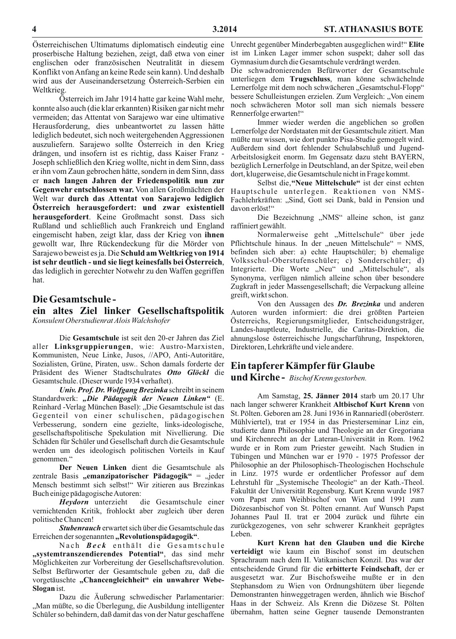Österreichischen Ultimatums diplomatisch eindeutig eine proserbische Haltung beziehen, zeigt, daß etwa von einer englischen oder französischen Neutralität in diesem Konflikt von Anfang an keine Rede sein kann). Und deshalb wird aus der Auseinandersetzung Österreich-Serbien ein Weltkrieg.

Osterreich im Jahr 1914 hatte gar keine Wahl mehr, konnte also auch (die klar erkannten) Risiken gar nicht mehr vermeiden; das Attentat von Sarajewo war eine ultimative Herausforderung, dies unbeantwortet zu lassen hätte lediglich bedeutet, sich noch weitergehenden Aggressionen auszuliefern. Sarajewo sollte Österreich in den Krieg drängen, und insofern ist es richtig, dass Kaiser Franz -Joseph schließlich den Krieg wollte, nicht in dem Sinn, dass er ihn vom Zaun gebrochen hätte, sondern in dem Sinn, dass er nach langen Jahren der Friedenspolitik nun zur Gegenwehr entschlossen war. Von allen Großmächten der Welt war durch das Attentat von Sarajewo lediglich Österreich herausgefordert: und zwar existentiell herausgefordert. Keine Großmacht sonst. Dass sich Rußland und schließlich auch Frankreich und England eingemischt haben, zeigt klar, dass der Krieg von ihnen gewollt war, Ihre Rückendeckung für die Mörder von Sarajewo beweist es ja. Die Schuld am Weltkrieg von 1914 ist sehr deutlich - und sie liegt keinesfalls bei Österreich, das lediglich in gerechter Notwehr zu den Waffen gegriffen hat

#### Die Gesamtschule-

Konsulent Oberstudienrat Alois Walchshofer

Die Gesamtschule ist seit den 20-er Jahren das Ziel aller Linksgruppierungen, wie: Austro-Marxisten, Kommunisten, Neue Linke, Jusos, //APO, Anti-Autoritäre, Sozialisten, Grüne, Piraten, usw... Schon damals forderte der Präsident des Wiener Stadtschulrates Otto Glöckl die Gesamtschule. (Dieser wurde 1934 verhaftet).

Univ. Prof. Dr. Wolfgang Brezinka schreibt in seinem Standardwerk: "Die Pädagogik der Neuen Linken" (E. Reinhard - Verlag München Basel): "Die Gesamtschule ist das Gegenteil von einer schulischen, pädagogischen Verbesserung, sondern eine gezielte, links-ideologische, gesellschaftspolitische Spekulation mit Nivellierung. Die Schäden für Schüler und Gesellschaft durch die Gesamtschule werden um des ideologisch politischen Vorteils in Kauf genommen."

Der Neuen Linken dient die Gesamtschule als zentrale Basis "emanzipatorischer Pädagogik" = "jeder Mensch bestimmt sich selbst!" Wir zitieren aus Brezinkas Buch einige pädagogische Autoren:

Heydorn unterzieht die Gesamtschule einer vernichtenden Kritik, frohlockt aber zugleich über deren politische Chancen!

Stubenrauch erwartet sich über die Gesamtschule das Erreichen der sogenannten "Revolutionspädagogik".

Nach Beck enthält die Gesamtschule<br>"systemtranszendierendes Potential", das sind mehr Möglichkeiten zur Vorbereitung der Gesellschaftsrevolution. Selbst Befürworter der Gesamtschule geben zu, daß die vorgetäuschte "Chancengleichheit" ein unwahrer Webe-Slogan ist.

Dazu die Äußerung schwedischer Parlamentarier: "Man müßte, so die Überlegung, die Ausbildung intelligenter Schüler so behindern, daß damit das von der Natur geschaffene

Unrecht gegenüber Minderbegabten ausgeglichen wird!" Elite ist im Linken Lager immer schon suspekt; daher soll das Gymnasium durch die Gesamtschule verdrängt werden.

Die schwadronierenden Befürworter der Gesamtschule unterliegen dem Trugschluss, man könne schwächelnde Lernerfolge mit dem noch schwächeren "Gesamtschul-Flopp" bessere Schulleistungen erzielen. Zum Vergleich: "Von einem noch schwächeren Motor soll man sich niemals bessere Rennerfolge erwarten!"

Immer wieder werden die angeblichen so großen Lernerfolge der Nordstaaten mit der Gesamtschule zitiert. Man müßte nur wissen, wie dort punkto Pisa-Studie gemogelt wird. Außerdem sind dort fehlender Schulabschluß und Jugend-Arbeitslosigkeit enorm. Im Gegensatz dazu steht BAYERN, bezüglich Lernerfolge in Deutschland, an der Spitze, weil eben dort, klugerweise, die Gesamtschule nicht in Frage kommt.

Selbst die, "Neue Mittelschule" ist der einst echten Hauptschule unterlegen. Reaktionen von NMS-Fachlehrkräften: "Sind, Gott sei Dank, bald in Pension und davon erlöst!"

Die Bezeichnung "NMS" alleine schon, ist ganz raffiniert gewählt.

Normalerweise geht "Mittelschule" über jede Pflichtschule hinaus. In der "neuen Mittelschule" = NMS, befinden sich aber: a) echte Hauptschüler; b) ehemalige Volksschul-Oberstufenschüler; c) Sonderschüler; d) Integrierte. Die Worte "Neu" und "Mittelschule", als Synonyma, verfügen nämlich alleine schon über besondere Zugkraft in jeder Massengesellschaft; die Verpackung alleine greift, wirkt schon.

Von den Aussagen des Dr. Brezinka und anderen ein altes Ziel linker Gesellschaftspolitik Autoren wurden informiert: die drei größten Parteien Österreichs, Regierungsmitglieder, Entscheidungsträger, Landes-hauptleute, Industrielle, die Caritas-Direktion, die ahnungslose österreichische Jungscharführung, Inspektoren, Direktoren, Lehrkräfte und viele andere.

# Ein tapferer Kämpfer für Glaube

und Kirche - Bischof Krenn gestorben.

Am Samstag, 25. Jänner 2014 starb um 20.17 Uhr nach langer schwerer Krankheit Altbischof Kurt Krenn von St. Pölten. Geboren am 28. Juni 1936 in Rannariedl (oberösterr. Mühlviertel), trat er 1954 in das Priesterseminar Linz ein, studierte dann Philosophie und Theologie an der Gregoriana und Kirchenrecht an der Lateran-Universität in Rom. 1962 wurde er in Rom zum Priester geweiht. Nach Studien in Tübingen und München war er 1970 - 1975 Professor der Philosophie an der Philosophisch-Theologischen Hochschule in Linz. 1975 wurde er ordentlicher Professor auf dem Lehrstuhl für "Systemische Theologie" an der Kath.-Theol. Fakultät der Universität Regensburg. Kurt Krenn wurde 1987 vom Papst zum Weihbischof von Wien und 1991 zum Diözesanbischof von St. Pölten ernannt. Auf Wunsch Papst Johannes Paul II. trat er 2004 zurück und führte ein zurückgezogenes, von sehr schwerer Krankheit geprägtes Leben.

Kurt Krenn hat den Glauben und die Kirche verteidigt wie kaum ein Bischof sonst im deutschen Sprachraum nach dem II. Vatikanischen Konzil. Das war der entscheidende Grund für die erbitterte Feindschaft, der er ausgesetzt war. Zur Bischofsweihe mußte er in den Stephansdom zu Wien von Ordnungshütern über liegende Demonstranten hinweggetragen werden, ähnlich wie Bischof Haas in der Schweiz. Als Krenn die Diözese St. Pölten übernahm, hatten seine Gegner tausende Demonstranten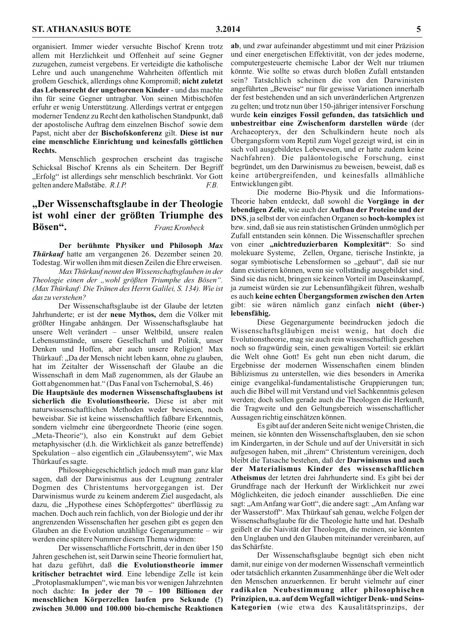organisiert. Immer wieder versuchte Bischof Krenn trotz allem mit Herzlichkeit und Offenheit auf seine Gegner zuzugehen, zumeist vergebens. Er verteidigte die katholische Lehre und auch unangenehme Wahrheiten öffentlich mit großem Geschick, allerdings ohne Kompromiß; nicht zuletzt das Lebensrecht der ungeborenen Kinder - und das machte ihn für seine Gegner untragbar. Von seinen Mitbischöfen erfuhr er wenig Unterstützung. Allerdings vertrat er entgegen moderner Tendenz zu Recht den katholischen Standpunkt, daß der apostolische Auftrag dem einzelnen Bischof sowie dem Papst, nicht aber der Bischofskonferenz gilt. Diese ist nur eine menschliche Einrichtung und keinesfalls göttlichen Rechts.

Menschlich gesprochen erscheint das tragische Schicksal Bischof Krenns als ein Scheitern. Der Begriff "Erfolg" ist allerdings sehr menschlich beschränkt. Vor Gott gelten andere Maßstäbe. R.I.P.  $E.B.$ 

#### "Der Wissenschaftsglaube in der Theologie ist wohl einer der größten Triumphe des Bösen". Franz Kronbeck

Der berühmte Physiker und Philosoph Max Thürkauf hatte am vergangenen 26. Dezember seinen 20. Todestag. Wir wollen ihm mit diesen Zeilen die Ehre erweisen.

Max Thürkauf nennt den Wissenschaftsglauben in der Theologie einen der "wohl größten Triumphe des Bösen". (Max Thürkauf: Die Tränen des Herrn Galilei, S. 134). Wie ist das zu verstehen?

Der Wissenschaftsglaube ist der Glaube der letzten Jahrhunderte; er ist der neue Mythos, dem die Völker mit größter Hingabe anhängen. Der Wissenschaftsglaube hat unsere Welt verändert - unser Weltbild, unsere realen Lebensumstände, unsere Gesellschaft und Politik, unser Denken und Hoffen, aber auch unsere Religion! Max Thürkauf: "Da der Mensch nicht leben kann, ohne zu glauben, hat im Zeitalter der Wissenschaft der Glaube an die Wissenschaft in dem Maß zugenommen, als der Glaube an Gott abgenommen hat." (Das Fanal von Tschernobal, S. 46)

Die Hauptsäule des modernen Wissenschaftsglaubens ist sicherlich die Evolutionstheorie. Diese ist aber mit naturwissenschaftlichen Methoden weder bewiesen, noch beweisbar. Sie ist keine wissenschaftlich faßbare Erkenntnis, sondern vielmehr eine übergeordnete Theorie (eine sogen. "Meta-Theorie"), also ein Konstrukt auf dem Gebiet metaphysischer (d.h. die Wirklichkeit als ganze betreffende) Spekulation – also eigentlich ein "Glaubenssytem", wie Max Thürkauf es sagte.

Philosophiegeschichtlich jedoch muß man ganz klar sagen, daß der Darwinismus aus der Leugnung zentraler Dogmen des Christentums hervorgegangen ist. Der Darwinismus wurde zu keinem anderem Ziel ausgedacht, als dazu, die "Hypothese eines Schöpfergottes" überflüssig zu machen. Doch auch rein fachlich, von der Biologie und der ihr angrenzenden Wissenschaften her gesehen gibt es gegen den Glauben an die Evolution unzählige Gegenargumente – wir werden eine spätere Nummer diesem Thema widmen:

Der wissenschaftliche Fortschritt, der in den über 150 Jahren geschehen ist, seit Darwin seine Theorie formuliert hat, hat dazu geführt, daß die Evolutionstheorie immer kritischer betrachtet wird. Eine lebendige Zelle ist kein "Protoplasmaklumpen", wie man bis vor wenigen Jahrzehnten noch dachte: In jeder der 70 - 100 Billionen der menschlichen Körperzellen laufen pro Sekunde (!) zwischen 30.000 und 100.000 bio-chemische Reaktionen

ab, und zwar aufeinander abgestimmt und mit einer Präzision und einer energetischen Effektivität, von der jedes moderne, computergesteuerte chemische Labor der Welt nur träumen könnte. Wie sollte so etwas durch bloßen Zufall entstanden sein? Tatsächlich scheinen die von den Darwinisten angeführten "Beweise" nur für gewisse Variationen innerhalb der fest bestehenden und an sich unveränderlichen Artgrenzen zu gelten; und trotz nun über 150-jähriger intensiver Forschung wurde kein einziges Fossil gefunden, das tatsächlich und unbestreitbar eine Zwischenform darstellen würde (der Archaeopteryx, der den Schulkindern heute noch als Übergangsform vom Reptil zum Vogel gezeigt wird, ist ein in sich voll ausgebildetes Lebewesen, und er hatte zudem keine Nachfahren). Die paläontologische Forschung, einst begründet, um den Darwinismus zu beweisen, beweist, daß es keine artübergreifenden, und keinesfalls allmähliche Entwicklungen gibt.

Die moderne Bio-Physik und die Informations-Theorie haben entdeckt, daß sowohl die Vorgänge in der lebendigen Zelle, wie auch der Aufbau der Proteine und der DNS, ja selbst der von einfachen Organen so hoch-komplex ist bzw. sind, daß sie aus rein statistischen Gründen unmöglich per Zufall entstanden sein können. Die Wissenschaftler sprechen von einer "nichtreduzierbaren Komplexität": So sind molekuare Systeme, Zellen, Organe, tierische Instinkte, ja sogar symbiotische Lebensformen so "gebaut", daß sie nur dann existieren können, wenn sie vollständig ausgebildet sind. Sind sie das nicht, bringen sie keinen Vorteil im Daseinskampf, ja zumeist würden sie zur Lebensunfähgikeit führen, weshalb es auch keine echten Übergangsformen zwischen den Arten gibt: sie wären nämlich ganz einfach nicht (über-) lebensfähig.

Diese Gegenargumente beeindrucken jedoch die Wissenschaftsgläubigen meist wenig, hat doch die Evolutions theorie, mag sie auch rein wissenschaftlich gesehen noch so fragwürdig sein, einen gewaltigen Vorteil: sie erklärt die Welt ohne Gott! Es geht nun eben nicht darum, die Ergebnisse der modernen Wissenschaften einem blinden Biblizismus zu unterstellen, wie dies besonders in Amerika einige evangelikal-fundamentalistische Gruppierungen tun; auch die Bibel will mit Verstand und viel Sachkenntnis gelesen werden; doch sollen gerade auch die Theologen die Herkunft, die Tragweite und den Geltungsbereich wissenschaftlicher Aussagen richtig einschätzen können.

Es gibt auf der anderen Seite nicht wenige Christen, die meinen, sie könnten den Wissenschaftsglauben, den sie schon im Kindergarten, in der Schule und auf der Universität in sich aufgesogen haben, mit "ihrem" Christentum vereinigen, doch bleibt die Tatsache bestehen, daß der Darwinismus und auch der Materialismus Kinder des wissenschaftlichen Atheismus der letzten drei Jahrhunderte sind. Es gibt bei der Grundfrage nach der Herkunft der Wirklichkeit nur zwei Möglichkeiten, die jedoch einander ausschließen. Die eine sagt: "Am Anfang war Gott", die andere sagt: "Am Anfang war der Wasserstoff". Max Thürkauf sah genau, welche Folgen der Wissenschaftsglaube für die Theologie hatte und hat. Deshalb geißelt er die Naivität der Theologen, die meinen, sie könnten den Unglauben und den Glauben miteinander vereinbaren, auf das Schärfste.

Der Wissenschaftsglaube begnügt sich eben nicht damit, nur einige von der modernen Wissenschaft vermeintlich oder tatsächlich erkannten Zusammenhänge über die Welt oder den Menschen anzuerkennen. Er beruht vielmehr auf einer radikalen Neubestimmung aller philosophischen Prinzipien, u.a. auf dem Wegfall wichtiger Denk- und Seins-Kategorien (wie etwa des Kausalitätsprinzips, der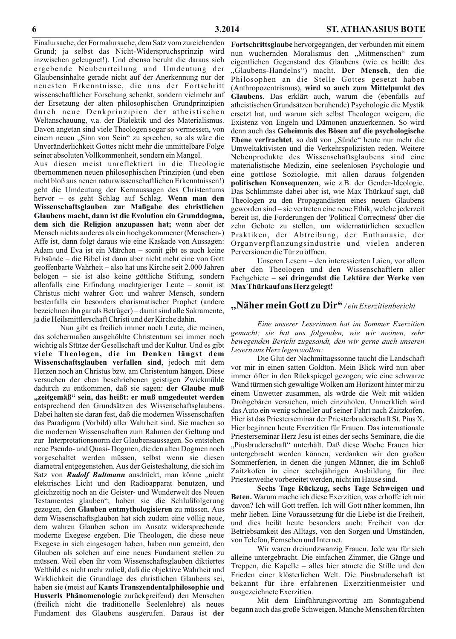Finalursache, der Formalursache, dem Satz vom zureichenden Grund; ja selbst das Nicht-Widerspruchsprinzip wird inzwischen geleugnet!). Und ebenso beruht die daraus sich ergebende Neubeurteilung und Umdeutung der Glaubensinhalte gerade nicht auf der Anerkennung nur der neuesten Erkenntnisse, die uns der Fortschritt wissenschaftlicher Forschung schenkt, sondern vielmehr auf der Ersetzung der alten philosophischen Grundprinzipien durch neue Denkprinzipien der atheistischen Weltanschauung, v.a. der Dialektik und des Materialismus. Davon angetan sind viele Theologen sogar so vermessen, von einem neuen "Sinn von Sein" zu sprechen, so als wäre die Unveränderlichkeit Gottes nicht mehr die unmittelbare Folge seiner absoluten Vollkommenheit, sondern ein Mangel.

Aus diesen meist unreflektiert in die Theologie übernommenen neuen philosophischen Prinzipien (und eben nicht bloß aus neuen naturwissenschaftlichen Erkenntnissen!) geht die Umdeutung der Kernaussagen des Christentums hervor - es geht Schlag auf Schlag. Wenn man den Wissenschaftsglauben zur Maßgabe des christlichen Glaubens macht, dann ist die Evolution ein Grunddogma, dem sich die Religion anzupassen hat; wenn aber der Mensch nichts anderes als ein hochgekommener (Menschen-) Affe ist, dann folgt daraus wie eine Kaskade von Aussagen: Adam und Eva ist ein Märchen – somit gibt es auch keine Erbsünde – die Bibel ist dann aber nicht mehr eine von Gott geoffenbarte Wahrheit – also hat uns Kirche seit 2.000 Jahren belogen – sie ist also keine göttliche Stiftung, sondern allenfalls eine Erfindung machtgieriger Leute – somit ist Christus nicht wahrer Gott und wahrer Mensch, sondern bestenfalls ein besonders charismatischer Prophet (andere bezeichnen ihn gar als Betrüger) – damit sind alle Sakramente, ja die Heilsmittlerschaft Christi und der Kirche dahin.

Nun gibt es freilich immer noch Leute, die meinen, das solchermaßen ausgehöhlte Christentum sei immer noch wichtig als Stütze der Gesellschaft und der Kultur. Und es gibt viele Theologen, die im Denken längst dem Wissenschaftsglauben verfallen sind, jedoch mit dem Herzen noch an Christus bzw. am Christentum hängen. Diese versuchen der eben beschriebenen geistigen Zwickmühle dadurch zu entkommen, daß sie sagen: der Glaube muß "zeitgemäß" sein, das heißt: er muß umgedeutet werden entsprechend den Grundsätzen des Wissenschaftsglaubens. Dabei halten sie daran fest, daß die modernen Wissenschaften das Paradigma (Vorbild) aller Wahrheit sind. Sie machen so die modernen Wissenschaften zum Rahmen der Geltung und zur Interpretationsnorm der Glaubensaussagen. So entstehen neue Pseudo- und Quasi-Dogmen, die den alten Dogmen noch vorgeschaltet werden müssen, selbst wenn sie diesen diametral entgegenstehen. Aus der Geisteshaltung, die sich im Satz von *Rudolf Bultmann* ausdrückt, man könne "nicht elektrisches Licht und den Radioapparat benutzen, und gleichzeitig noch an die Geister- und Wunderwelt des Neuen Testamentes glauben", haben sie die Schlußfolgerung gezogen, den Glauben entmythologisieren zu müssen. Aus dem Wissenschaftsglauben hat sich zudem eine völlig neue, dem wahren Glauben schon im Ansatz widersprechende moderne Exegese ergeben. Die Theologen, die diese neue Exegese in sich eingesogen haben, haben nun gemeint, den Glauben als solchen auf eine neues Fundament stellen zu müssen. Weil eben ihr vom Wissenschaftsglauben diktiertes Weltbild es nicht mehr zuließ, daß die objektive Wahrheit und Wirklichkeit die Grundlage des christlichen Glaubens sei, haben sie (meist auf Kants Transzendentalphilosophie und Husserls Phänomenologie zurückgreifend) den Menschen (freilich nicht die traditionelle Seelenlehre) als neues Fundament des Glaubens ausgerufen. Daraus ist der

Fortschrittsglaube hervorgegangen, der verbunden mit einem nun wuchernden Moralismus den "Mitmenschen" zum eigentlichen Gegenstand des Glaubens (wie es heißt: des "Glaubens-Handelns") macht. Der Mensch, den die Philosophen an die Stelle Gottes gesetzt haben (Anthropozentrismus), wird so auch zum Mittelpunkt des Glaubens. Das erklärt auch, warum die (ebenfalls auf atheistischen Grundsätzen beruhende) Psychologie die Mystik ersetzt hat, und warum sich selbst Theologen weigern, die Existenz von Engeln und Dämonen anzuerkennen. So wird denn auch das Geheimnis des Bösen auf die psychologische Ebene verfrachtet, so daß von "Sünde" heute nur mehr die Umweltaktivisten und die Verkehrspolizisten reden. Weitere Nebenprodukte des Wissenschaftsglaubens sind eine materialistische Medizin, eine seelenlosen Psychologie und eine gottlose Soziologie, mit allen daraus folgenden politischen Konsequenzen, wie z.B. der Gender-Ideologie. Das Schlimmste dabei aber ist, wie Max Thürkauf sagt, daß Theologen zu den Propagandisten eines neuen Glaubens geworden sind – sie vertreten eine neue Ethik, welche jederzeit bereit ist, die Forderungen der 'Political Correctness' über die zehn Gebote zu stellen, um widernatürlichen sexuellen Praktiken, der Abtreibung, der Euthanasie, der Organverpflanzungsindustrie und vielen anderen Perversionen die Tür zu öffnen.

Unseren Lesern - den interessierten Laien, vor allem aber den Theologen und den Wissenschaftlern aller Fachgebiete – sei dringendst die Lektüre der Werke von Max Thürkauf ans Herz gelegt!

#### "Näher mein Gott zu Dir" / ein Exerzitienbericht

Eine unserer Leserinnen hat im Sommer Exerzitien gemacht; sie hat uns folgenden, wie wir meinen, sehr bewegenden Bericht zugesandt, den wir gerne auch unseren Lesern ans Herz legen wollen:

Die Glut der Nachmittagssonne taucht die Landschaft vor mir in einen satten Goldton. Mein Blick wird nun aber immer öfter in den Rückspiegel gezogen; wie eine schwarze Wand türmen sich gewaltige Wolken am Horizont hinter mir zu einem Unwetter zusammen, als würde die Welt mit wilden Drohgebären versuchen, mich einzuholen. Unmerklich wird das Auto ein wenig schneller auf seiner Fahrt nach Zaitzkofen. Hier ist das Priesterseminar der Priesterbruderschaft St. Pius X. Hier beginnen heute Exerzitien für Frauen. Das internationale Priesterseminar Herz Jesu ist eines der sechs Seminare, die die "Piusbruderschaft" unterhält. Daß diese Woche Frauen hier untergebracht werden können, verdanken wir den großen Sommerferien, in denen die jungen Männer, die im Schloß Zaitzkofen in einer sechsjährigen Ausbildung für ihre Priesterweihe vorbereitet werden, nicht im Hause sind.

Sechs Tage Rückzug, sechs Tage Schweigen und Beten. Warum mache ich diese Exerzitien, was erhoffe ich mir davon? Ich will Gott treffen. Ich will Gott näher kommen, Ihn mehr lieben. Eine Voraussetzung für die Liebe ist die Freiheit, und dies heißt heute besonders auch: Freiheit von der Betriebsamkeit des Alltags, von den Sorgen und Umständen, von Telefon, Fernsehen und Internet.

Wir waren dreiundzwanzig Frauen. Jede war für sich alleine untergebracht. Die einfachen Zimmer, die Gänge und Treppen, die Kapelle – alles hier atmete die Stille und den Frieden einer klösterlichen Welt. Die Piusbruderschaft ist bekannt für ihre erfahrenen Exerzitienmeister und ausgezeichnete Exerzitien.

Mit dem Einführungsvortrag am Sonntagabend begann auch das große Schweigen. Manche Menschen fürchten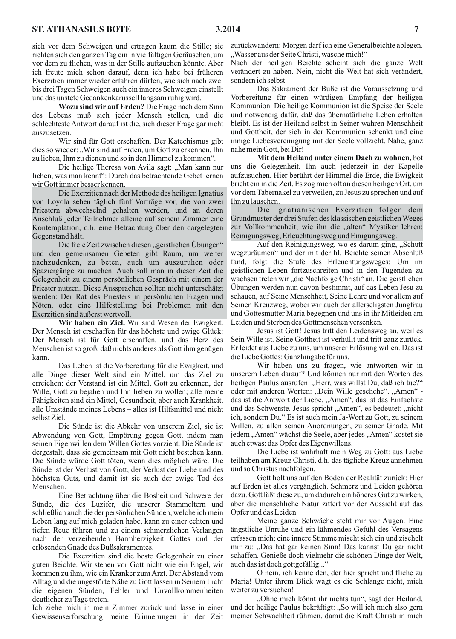sich vor dem Schweigen und ertragen kaum die Stille; sie richten sich den ganzen Tag ein in vielfältigen Geräuschen, um vor dem zu fliehen, was in der Stille auftauchen könnte. Aber ich freute mich schon darauf, denn ich habe bei früheren Exerzitien immer wieder erfahren dürfen, wie sich nach zwei bis drei Tagen Schweigen auch ein inneres Schweigen einstellt und das unstete Gedankenkarussell langsam ruhig wird.

Wozu sind wir auf Erden? Die Frage nach dem Sinn des Lebens muß sich jeder Mensch stellen, und die schlechteste Antwort darauf ist die, sich dieser Frage gar nicht auszusetzen.

Wir sind für Gott erschaffen. Der Katechismus gibt dies so wieder: "Wir sind auf Erden, um Gott zu erkennen, Ihn zu lieben, Ihm zu dienen und so in den Himmel zu kommen".

Die heilige Theresa von Avila sagt: "Man kann nur lieben, was man kennt": Durch das betrachtende Gebet lernen wir Gott immer besser kennen.

Die Exerzitien nach der Methode des heiligen Ignatius von Loyola sehen täglich fünf Vorträge vor, die von zwei Priestern abwechselnd gehalten werden, und an deren Anschluß jeder Teilnehmer alleine auf seinem Zimmer eine Kontemplation, d.h. eine Betrachtung über den dargelegten Gegenstand hält.

Die freie Zeit zwischen diesen "geistlichen Übungen" und den gemeinsamen Gebeten gibt Raum, um weiter nachzudenken, zu beten, auch um auszuruhen oder Spaziergänge zu machen. Auch soll man in dieser Zeit die Gelegenheit zu einem persönlichen Gespräch mit einem der Priester nutzen. Diese Aussprachen sollten nicht unterschätzt werden: Der Rat des Priesters in persönlichen Fragen und Nöten, oder eine Hilfestellung bei Problemen mit den Exerzitien sind äußerst wertvoll.

Wir haben ein Ziel. Wir sind Wesen der Ewigkeit. Der Mensch ist erschaffen für das höchste und ewige Glück: Der Mensch ist für Gott erschaffen, und das Herz des Menschen ist so groß, daß nichts anderes als Gott ihm genügen kann.

Das Leben ist die Vorbereitung für die Ewigkeit, und alle Dinge dieser Welt sind ein Mittel, um das Ziel zu erreichen: der Verstand ist ein Mittel, Gott zu erkennen, der Wille, Gott zu bejahen und Ihn lieben zu wollen; alle meine Fähigkeiten sind ein Mittel, Gesundheit, aber auch Krankheit, alle Umstände meines Lebens – alles ist Hilfsmittel und nicht selbst Ziel.

Die Sünde ist die Abkehr von unserem Ziel, sie ist Abwendung von Gott, Empörung gegen Gott, indem man seinen Eigenwillen dem Willen Gottes vorzieht. Die Sünde ist dergestalt, dass sie gemeinsam mit Gott nicht bestehen kann. Die Sünde würde Gott töten, wenn dies möglich wäre. Die Sünde ist der Verlust von Gott, der Verlust der Liebe und des höchsten Guts, und damit ist sie auch der ewige Tod des Menschen.

Eine Betrachtung über die Bosheit und Schwere der Sünde, die des Luzifer, die unserer Stammeltern und schließlich auch die der persönlichen Sünden, welche ich mein Leben lang auf mich geladen habe, kann zu einer echten und tiefen Reue führen und zu einem schmerzlichen Verlangen nach der verzeihenden Barmherzigkeit Gottes und der erlösenden Gnade des Bußsakramentes.

Die Exerzitien sind die beste Gelegenheit zu einer guten Beichte. Wir stehen vor Gott nicht wie ein Engel, wir kommen zu ihm, wie ein Kranker zum Arzt. Der Abstand vom Alltag und die ungestörte Nähe zu Gott lassen in Seinem Licht die eigenen Sünden, Fehler und Unvollkommenheiten deutlicher zu Tage treten.

Ich ziehe mich in mein Zimmer zurück und lasse in einer Gewissenserforschung meine Erinnerungen in der Zeit

zurückwandern: Morgen darf ich eine Generalbeichte ablegen. "Wasser aus der Seite Christi, wasche mich!"

Nach der heiligen Beichte scheint sich die ganze Welt verändert zu haben. Nein, nicht die Welt hat sich verändert, sondern ich selbst.

Das Sakrament der Buße ist die Voraussetzung und Vorbereitung für einen würdigen Empfang der heiligen Kommunion. Die heilige Kommunion ist die Speise der Seele und notwendig dafür, daß das übernatürliche Leben erhalten bleibt. Es ist der Heiland selbst in Seiner wahren Menschheit und Gottheit, der sich in der Kommunion schenkt und eine innige Liebesvereinigung mit der Seele vollzieht. Nahe, ganz nahe mein Gott, bei Dir!

Mit dem Heiland unter einem Dach zu wohnen, bot uns die Gelegenheit, Ihn auch jederzeit in der Kapelle aufzusuchen. Hier berührt der Himmel die Erde, die Ewigkeit bricht ein in die Zeit. Es zog mich oft an diesen heiligen Ort, um vor dem Tabernakel zu verweilen, zu Jesus zu sprechen und auf Ihn zu lauschen.

Die ignatianischen Exerzitien folgen dem Grundmuster der drei Stufen des klassischen geistlichen Weges zur Vollkommenheit, wie ihn die "alten" Mystiker lehren: Reinigungsweg, Erleuchtungsweg und Einigungsweg.

Auf den Reinigungsweg, wo es darum ging, "Schutt wegzuräumen" und der mit der hl. Beichte seinen Abschluß fand, folgt die Stufe des Erleuchtungsweges: Um im geistlichen Leben fortzuschreiten und in den Tugenden zu wachsen treten wir "die Nachfolge Christi" an. Die geistlichen Übungen werden nun davon bestimmt, auf das Leben Jesu zu schauen, auf Seine Menschheit, Seine Lehre und vor allem auf Seinen Kreuzweg, wobei wir auch der allerseligsten Jungfrau und Gottesmutter Maria begegnen und uns in ihr Mitleiden am Leiden und Sterben des Gottmenschen versenken.

Jesus ist Gott! Jesus tritt den Leidensweg an, weil es Sein Wille ist. Seine Gottheit ist verhüllt und tritt ganz zurück. Er leidet aus Liebe zu uns, um unserer Erlösung willen. Das ist die Liebe Gottes: Ganzhingabe für uns.

Wir haben uns zu fragen, wie antworten wir in unserem Leben darauf? Und können nur mit den Worten des heiligen Paulus ausrufen: "Herr, was willst Du, daß ich tue?" oder mit anderen Worten: "Dein Wille geschehe". "Amen" das ist die Antwort der Liebe. "Amen", das ist das Einfachste und das Schwerste. Jesus spricht "Amen", es bedeutet: "nicht ich, sondern Du." Es ist auch mein Ja-Wort zu Gott, zu seinem Willen, zu allen seinen Anordnungen, zu seiner Gnade. Mit jedem "Amen" wächst die Seele, aber jedes "Amen" kostet sie auch etwas: das Opfer des Eigenwillens.

Die Liebe ist wahrhaft mein Weg zu Gott: aus Liebe teilhaben am Kreuz Christi, d.h. das tägliche Kreuz annehmen und so Christus nachfolgen.

Gott holt uns auf den Boden der Realität zurück: Hier auf Erden ist alles vergänglich. Schmerz und Leiden gehören dazu. Gott läßt diese zu, um dadurch ein höheres Gut zu wirken, aber die menschliche Natur zittert vor der Aussicht auf das Opfer und das Leiden.

Meine ganze Schwäche steht mir vor Augen. Eine ängstliche Unruhe und ein lähmendes Gefühl des Versagens erfassen mich; eine innere Stimme mischt sich ein und zischelt mir zu: "Das hat gar keinen Sinn! Das kannst Du gar nicht schaffen. Genieße doch vielmehr die schönen Dinge der Welt, auch das ist doch gottgefällig..."

O nein, ich kenne den, der hier spricht und fliehe zu Maria! Unter ihrem Blick wagt es die Schlange nicht, mich weiter zu versuchen!

"Ohne mich könnt ihr nichts tun", sagt der Heiland, und der heilige Paulus bekräftigt: "So will ich mich also gern meiner Schwachheit rühmen, damit die Kraft Christi in mich